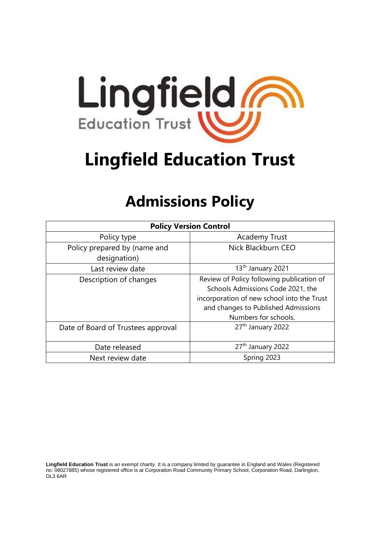

# **Lingfield Education Trust**

# **Admissions Policy**

| <b>Policy Version Control</b>                |                                                                                                                                                                                             |  |
|----------------------------------------------|---------------------------------------------------------------------------------------------------------------------------------------------------------------------------------------------|--|
| Policy type                                  | <b>Academy Trust</b>                                                                                                                                                                        |  |
| Policy prepared by (name and<br>designation) | Nick Blackburn CEO                                                                                                                                                                          |  |
| Last review date                             | 13 <sup>th</sup> January 2021                                                                                                                                                               |  |
| Description of changes                       | Review of Policy following publication of<br>Schools Admissions Code 2021, the<br>incorporation of new school into the Trust<br>and changes to Published Admissions<br>Numbers for schools. |  |
| Date of Board of Trustees approval           | 27th January 2022                                                                                                                                                                           |  |
| Date released                                | 27 <sup>th</sup> January 2022                                                                                                                                                               |  |
| Next review date                             | Spring 2023                                                                                                                                                                                 |  |

**Lingfield Education Trust** is an exempt charity. It is a company limited by guarantee in England and Wales (Registered no: 08027885) whose registered office is at Corporation Road Community Primary School, Corporation Road, Darlington, DL3 6AR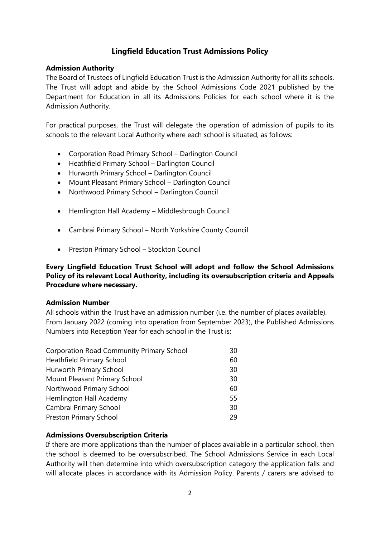# **Lingfield Education Trust Admissions Policy**

# **Admission Authority**

The Board of Trustees of Lingfield Education Trust is the Admission Authority for all its schools. The Trust will adopt and abide by the School Admissions Code 2021 published by the Department for Education in all its Admissions Policies for each school where it is the Admission Authority.

For practical purposes, the Trust will delegate the operation of admission of pupils to its schools to the relevant Local Authority where each school is situated, as follows:

- Corporation Road Primary School Darlington Council
- Heathfield Primary School Darlington Council
- Hurworth Primary School Darlington Council
- Mount Pleasant Primary School Darlington Council
- Northwood Primary School Darlington Council
- Hemlington Hall Academy Middlesbrough Council
- Cambrai Primary School North Yorkshire County Council
- Preston Primary School Stockton Council

# **Every Lingfield Education Trust School will adopt and follow the School Admissions Policy of its relevant Local Authority, including its oversubscription criteria and Appeals Procedure where necessary.**

## **Admission Number**

All schools within the Trust have an admission number (i.e. the number of places available). From January 2022 (coming into operation from September 2023), the Published Admissions Numbers into Reception Year for each school in the Trust is:

| <b>Corporation Road Community Primary School</b> | 30 |
|--------------------------------------------------|----|
| <b>Heathfield Primary School</b>                 | 60 |
| Hurworth Primary School                          | 30 |
| Mount Pleasant Primary School                    | 30 |
| Northwood Primary School                         | 60 |
| Hemlington Hall Academy                          | 55 |
| Cambrai Primary School                           | 30 |
| Preston Primary School                           | 29 |

## **Admissions Oversubscription Criteria**

If there are more applications than the number of places available in a particular school, then the school is deemed to be oversubscribed. The School Admissions Service in each Local Authority will then determine into which oversubscription category the application falls and will allocate places in accordance with its Admission Policy. Parents / carers are advised to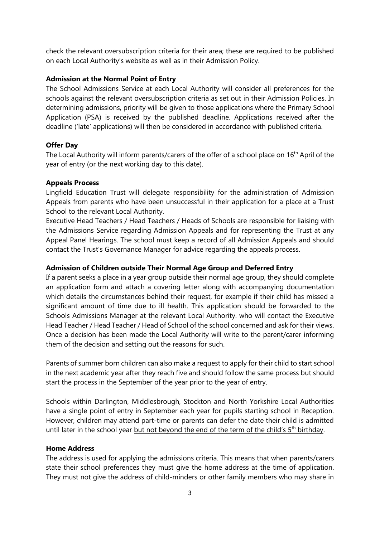check the relevant oversubscription criteria for their area; these are required to be published on each Local Authority's website as well as in their Admission Policy.

# **Admission at the Normal Point of Entry**

The School Admissions Service at each Local Authority will consider all preferences for the schools against the relevant oversubscription criteria as set out in their Admission Policies. In determining admissions, priority will be given to those applications where the Primary School Application (PSA) is received by the published deadline. Applications received after the deadline ('late' applications) will then be considered in accordance with published criteria.

# **Offer Day**

The Local Authority will inform parents/carers of the offer of a school place on  $16<sup>th</sup>$  April of the year of entry (or the next working day to this date).

## **Appeals Process**

Lingfield Education Trust will delegate responsibility for the administration of Admission Appeals from parents who have been unsuccessful in their application for a place at a Trust School to the relevant Local Authority.

Executive Head Teachers / Head Teachers / Heads of Schools are responsible for liaising with the Admissions Service regarding Admission Appeals and for representing the Trust at any Appeal Panel Hearings. The school must keep a record of all Admission Appeals and should contact the Trust's Governance Manager for advice regarding the appeals process.

# **Admission of Children outside Their Normal Age Group and Deferred Entry**

If a parent seeks a place in a year group outside their normal age group, they should complete an application form and attach a covering letter along with accompanying documentation which details the circumstances behind their request, for example if their child has missed a significant amount of time due to ill health. This application should be forwarded to the Schools Admissions Manager at the relevant Local Authority. who will contact the Executive Head Teacher / Head Teacher / Head of School of the school concerned and ask for their views. Once a decision has been made the Local Authority will write to the parent/carer informing them of the decision and setting out the reasons for such.

Parents of summer born children can also make a request to apply for their child to start school in the next academic year after they reach five and should follow the same process but should start the process in the September of the year prior to the year of entry.

Schools within Darlington, Middlesbrough, Stockton and North Yorkshire Local Authorities have a single point of entry in September each year for pupils starting school in Reception. However, children may attend part-time or parents can defer the date their child is admitted until later in the school year but not beyond the end of the term of the child's  $5<sup>th</sup>$  birthday.

## **Home Address**

The address is used for applying the admissions criteria. This means that when parents/carers state their school preferences they must give the home address at the time of application. They must not give the address of child-minders or other family members who may share in